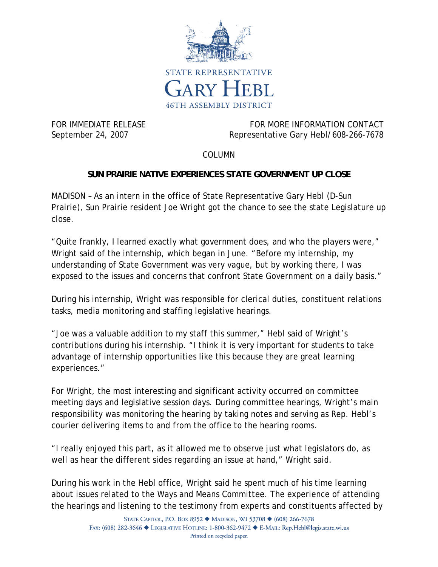

FOR IMMEDIATE RELEASE FOR MORE INFORMATION CONTACT September 24, 2007 Representative Gary Hebl/608-266-7678

## COLUMN

## **SUN PRAIRIE NATIVE EXPERIENCES STATE GOVERNMENT UP CLOSE**

MADISON – As an intern in the office of State Representative Gary Hebl (D-Sun Prairie), Sun Prairie resident Joe Wright got the chance to see the state Legislature up close.

"Quite frankly, I learned exactly what government does, and who the players were," Wright said of the internship, which began in June. "Before my internship, my understanding of State Government was very vague, but by working there, I was exposed to the issues and concerns that confront State Government on a daily basis."

During his internship, Wright was responsible for clerical duties, constituent relations tasks, media monitoring and staffing legislative hearings.

"Joe was a valuable addition to my staff this summer," Hebl said of Wright's contributions during his internship. "I think it is very important for students to take advantage of internship opportunities like this because they are great learning experiences."

For Wright, the most interesting and significant activity occurred on committee meeting days and legislative session days. During committee hearings, Wright's main responsibility was monitoring the hearing by taking notes and serving as Rep. Hebl's courier delivering items to and from the office to the hearing rooms.

"I really enjoyed this part, as it allowed me to observe just what legislators do, as well as hear the different sides regarding an issue at hand," Wright said.

During his work in the Hebl office, Wright said he spent much of his time learning about issues related to the Ways and Means Committee. The experience of attending the hearings and listening to the testimony from experts and constituents affected by